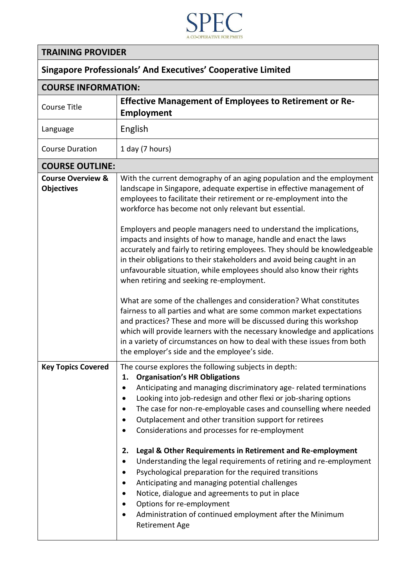

## **TRAINING PROVIDER**

## **Singapore Professionals' And Executives' Cooperative Limited**

| <b>COURSE INFORMATION:</b>                        |                                                                                                                                                                                                                                                                                                                                                                                                                                                                                                                                                                                                                                                                                                                                                                                                                                                     |
|---------------------------------------------------|-----------------------------------------------------------------------------------------------------------------------------------------------------------------------------------------------------------------------------------------------------------------------------------------------------------------------------------------------------------------------------------------------------------------------------------------------------------------------------------------------------------------------------------------------------------------------------------------------------------------------------------------------------------------------------------------------------------------------------------------------------------------------------------------------------------------------------------------------------|
| <b>Course Title</b>                               | <b>Effective Management of Employees to Retirement or Re-</b><br><b>Employment</b>                                                                                                                                                                                                                                                                                                                                                                                                                                                                                                                                                                                                                                                                                                                                                                  |
| Language                                          | English                                                                                                                                                                                                                                                                                                                                                                                                                                                                                                                                                                                                                                                                                                                                                                                                                                             |
| <b>Course Duration</b>                            | 1 day (7 hours)                                                                                                                                                                                                                                                                                                                                                                                                                                                                                                                                                                                                                                                                                                                                                                                                                                     |
| <b>COURSE OUTLINE:</b>                            |                                                                                                                                                                                                                                                                                                                                                                                                                                                                                                                                                                                                                                                                                                                                                                                                                                                     |
| <b>Course Overview &amp;</b><br><b>Objectives</b> | With the current demography of an aging population and the employment<br>landscape in Singapore, adequate expertise in effective management of<br>employees to facilitate their retirement or re-employment into the<br>workforce has become not only relevant but essential.<br>Employers and people managers need to understand the implications,<br>impacts and insights of how to manage, handle and enact the laws<br>accurately and fairly to retiring employees. They should be knowledgeable<br>in their obligations to their stakeholders and avoid being caught in an<br>unfavourable situation, while employees should also know their rights<br>when retiring and seeking re-employment.<br>What are some of the challenges and consideration? What constitutes<br>fairness to all parties and what are some common market expectations |
|                                                   | and practices? These and more will be discussed during this workshop<br>which will provide learners with the necessary knowledge and applications<br>in a variety of circumstances on how to deal with these issues from both<br>the employer's side and the employee's side.                                                                                                                                                                                                                                                                                                                                                                                                                                                                                                                                                                       |
| <b>Key Topics Covered</b>                         | The course explores the following subjects in depth:<br><b>Organisation's HR Obligations</b><br>1.<br>Anticipating and managing discriminatory age- related terminations<br>Looking into job-redesign and other flexi or job-sharing options<br>The case for non-re-employable cases and counselling where needed<br>Outplacement and other transition support for retirees<br>Considerations and processes for re-employment<br>Legal & Other Requirements in Retirement and Re-employment<br>2.<br>Understanding the legal requirements of retiring and re-employment<br>٠                                                                                                                                                                                                                                                                        |
|                                                   | Psychological preparation for the required transitions<br>Anticipating and managing potential challenges<br>Notice, dialogue and agreements to put in place<br>$\bullet$<br>Options for re-employment<br>Administration of continued employment after the Minimum<br><b>Retirement Age</b>                                                                                                                                                                                                                                                                                                                                                                                                                                                                                                                                                          |